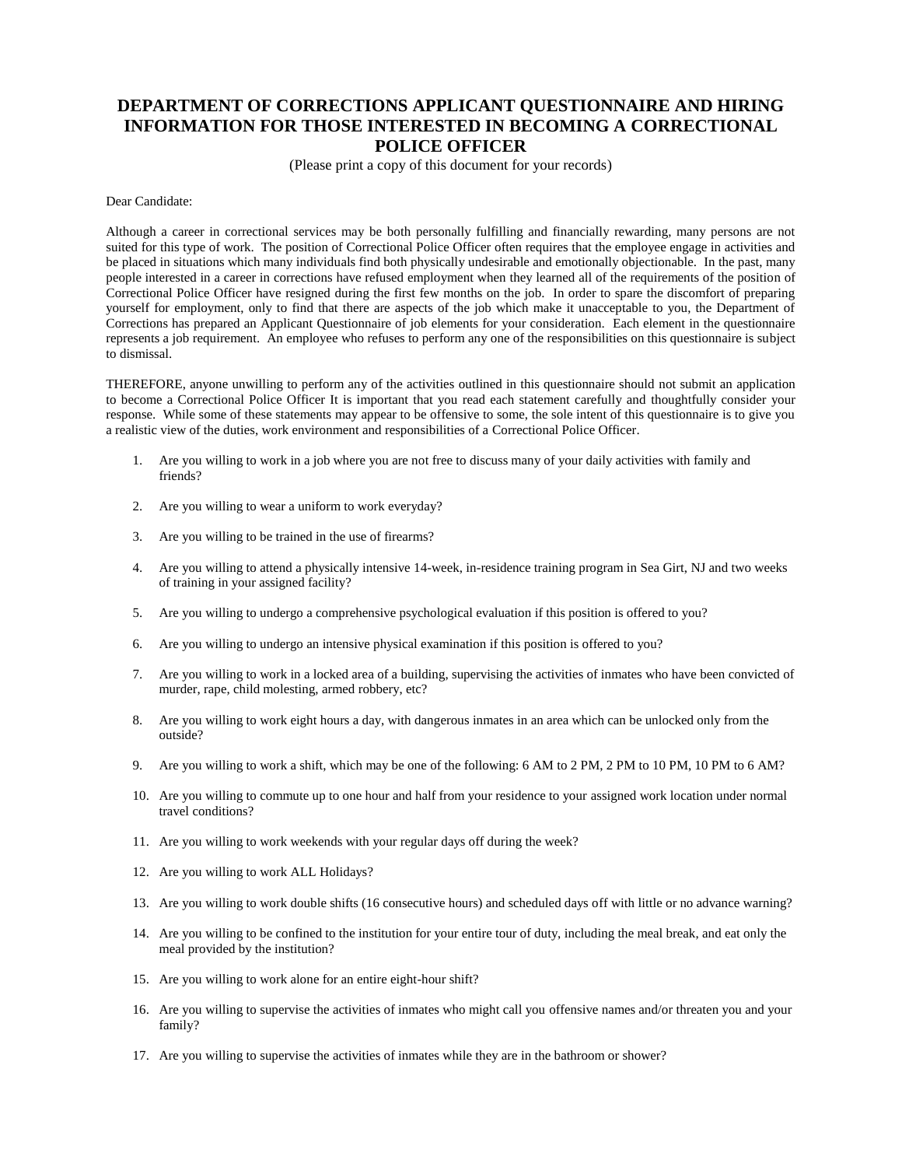## **DEPARTMENT OF CORRECTIONS APPLICANT QUESTIONNAIRE AND HIRING INFORMATION FOR THOSE INTERESTED IN BECOMING A CORRECTIONAL POLICE OFFICER**

(Please print a copy of this document for your records)

Dear Candidate:

Although a career in correctional services may be both personally fulfilling and financially rewarding, many persons are not suited for this type of work. The position of Correctional Police Officer often requires that the employee engage in activities and be placed in situations which many individuals find both physically undesirable and emotionally objectionable. In the past, many people interested in a career in corrections have refused employment when they learned all of the requirements of the position of Correctional Police Officer have resigned during the first few months on the job. In order to spare the discomfort of preparing yourself for employment, only to find that there are aspects of the job which make it unacceptable to you, the Department of Corrections has prepared an Applicant Questionnaire of job elements for your consideration. Each element in the questionnaire represents a job requirement. An employee who refuses to perform any one of the responsibilities on this questionnaire is subject to dismissal.

THEREFORE, anyone unwilling to perform any of the activities outlined in this questionnaire should not submit an application to become a Correctional Police Officer It is important that you read each statement carefully and thoughtfully consider your response. While some of these statements may appear to be offensive to some, the sole intent of this questionnaire is to give you a realistic view of the duties, work environment and responsibilities of a Correctional Police Officer.

- 1. Are you willing to work in a job where you are not free to discuss many of your daily activities with family and friends?
- 2. Are you willing to wear a uniform to work everyday?
- 3. Are you willing to be trained in the use of firearms?
- 4. Are you willing to attend a physically intensive 14-week, in-residence training program in Sea Girt, NJ and two weeks of training in your assigned facility?
- 5. Are you willing to undergo a comprehensive psychological evaluation if this position is offered to you?
- 6. Are you willing to undergo an intensive physical examination if this position is offered to you?
- 7. Are you willing to work in a locked area of a building, supervising the activities of inmates who have been convicted of murder, rape, child molesting, armed robbery, etc?
- 8. Are you willing to work eight hours a day, with dangerous inmates in an area which can be unlocked only from the outside?
- 9. Are you willing to work a shift, which may be one of the following: 6 AM to 2 PM, 2 PM to 10 PM, 10 PM to 6 AM?
- 10. Are you willing to commute up to one hour and half from your residence to your assigned work location under normal travel conditions?
- 11. Are you willing to work weekends with your regular days off during the week?
- 12. Are you willing to work ALL Holidays?
- 13. Are you willing to work double shifts (16 consecutive hours) and scheduled days off with little or no advance warning?
- 14. Are you willing to be confined to the institution for your entire tour of duty, including the meal break, and eat only the meal provided by the institution?
- 15. Are you willing to work alone for an entire eight-hour shift?
- 16. Are you willing to supervise the activities of inmates who might call you offensive names and/or threaten you and your family?
- 17. Are you willing to supervise the activities of inmates while they are in the bathroom or shower?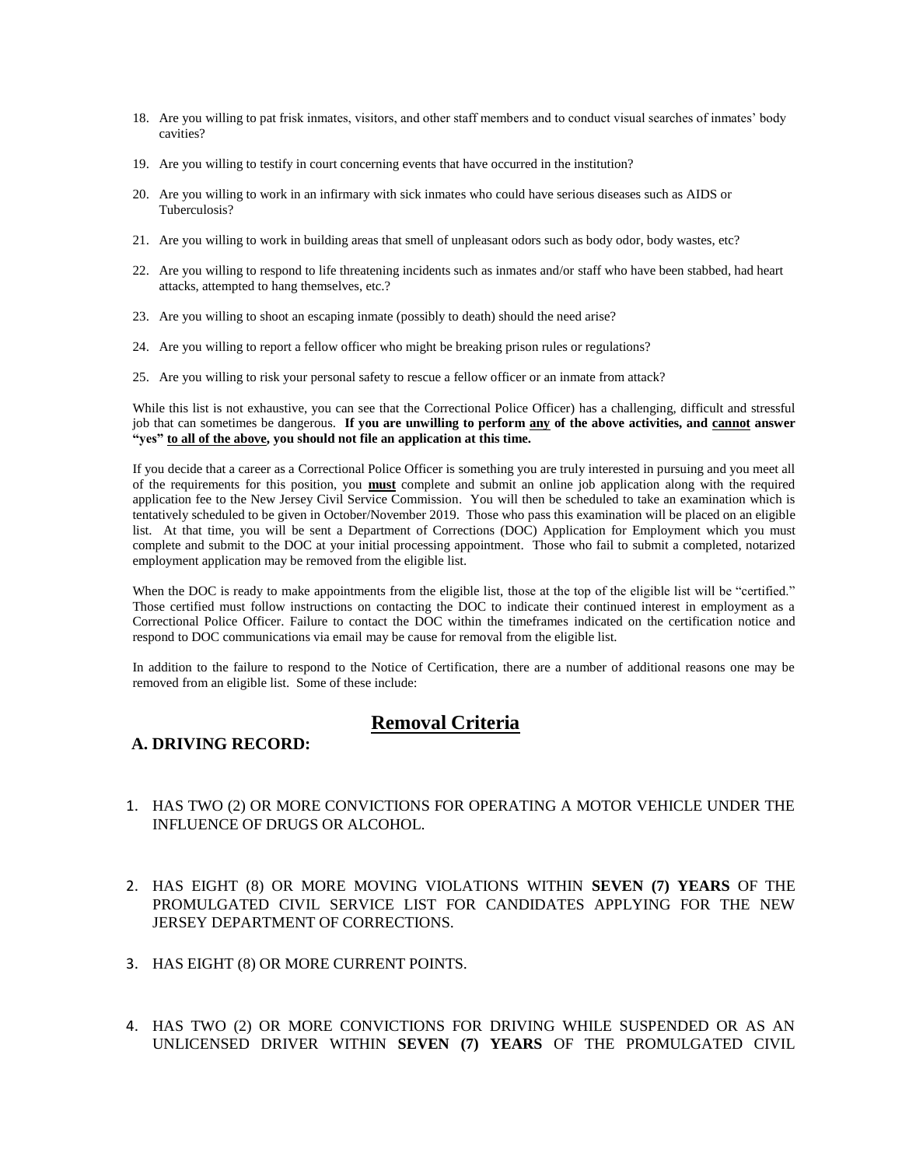- 18. Are you willing to pat frisk inmates, visitors, and other staff members and to conduct visual searches of inmates' body cavities?
- 19. Are you willing to testify in court concerning events that have occurred in the institution?
- 20. Are you willing to work in an infirmary with sick inmates who could have serious diseases such as AIDS or Tuberculosis?
- 21. Are you willing to work in building areas that smell of unpleasant odors such as body odor, body wastes, etc?
- 22. Are you willing to respond to life threatening incidents such as inmates and/or staff who have been stabbed, had heart attacks, attempted to hang themselves, etc.?
- 23. Are you willing to shoot an escaping inmate (possibly to death) should the need arise?
- 24. Are you willing to report a fellow officer who might be breaking prison rules or regulations?
- 25. Are you willing to risk your personal safety to rescue a fellow officer or an inmate from attack?

While this list is not exhaustive, you can see that the Correctional Police Officer) has a challenging, difficult and stressful job that can sometimes be dangerous. **If you are unwilling to perform any of the above activities, and cannot answer "yes" to all of the above, you should not file an application at this time.**

If you decide that a career as a Correctional Police Officer is something you are truly interested in pursuing and you meet all of the requirements for this position, you **must** complete and submit an online job application along with the required application fee to the New Jersey Civil Service Commission. You will then be scheduled to take an examination which is tentatively scheduled to be given in October/November 2019. Those who pass this examination will be placed on an eligible list. At that time, you will be sent a Department of Corrections (DOC) Application for Employment which you must complete and submit to the DOC at your initial processing appointment. Those who fail to submit a completed, notarized employment application may be removed from the eligible list.

When the DOC is ready to make appointments from the eligible list, those at the top of the eligible list will be "certified." Those certified must follow instructions on contacting the DOC to indicate their continued interest in employment as a Correctional Police Officer. Failure to contact the DOC within the timeframes indicated on the certification notice and respond to DOC communications via email may be cause for removal from the eligible list.

In addition to the failure to respond to the Notice of Certification, there are a number of additional reasons one may be removed from an eligible list. Some of these include:

# **Removal Criteria**

#### **A. DRIVING RECORD:**

- 1. HAS TWO (2) OR MORE CONVICTIONS FOR OPERATING A MOTOR VEHICLE UNDER THE INFLUENCE OF DRUGS OR ALCOHOL.
- 2. HAS EIGHT (8) OR MORE MOVING VIOLATIONS WITHIN **SEVEN (7) YEARS** OF THE PROMULGATED CIVIL SERVICE LIST FOR CANDIDATES APPLYING FOR THE NEW JERSEY DEPARTMENT OF CORRECTIONS.
- 3. HAS EIGHT (8) OR MORE CURRENT POINTS.
- 4. HAS TWO (2) OR MORE CONVICTIONS FOR DRIVING WHILE SUSPENDED OR AS AN UNLICENSED DRIVER WITHIN **SEVEN (7) YEARS** OF THE PROMULGATED CIVIL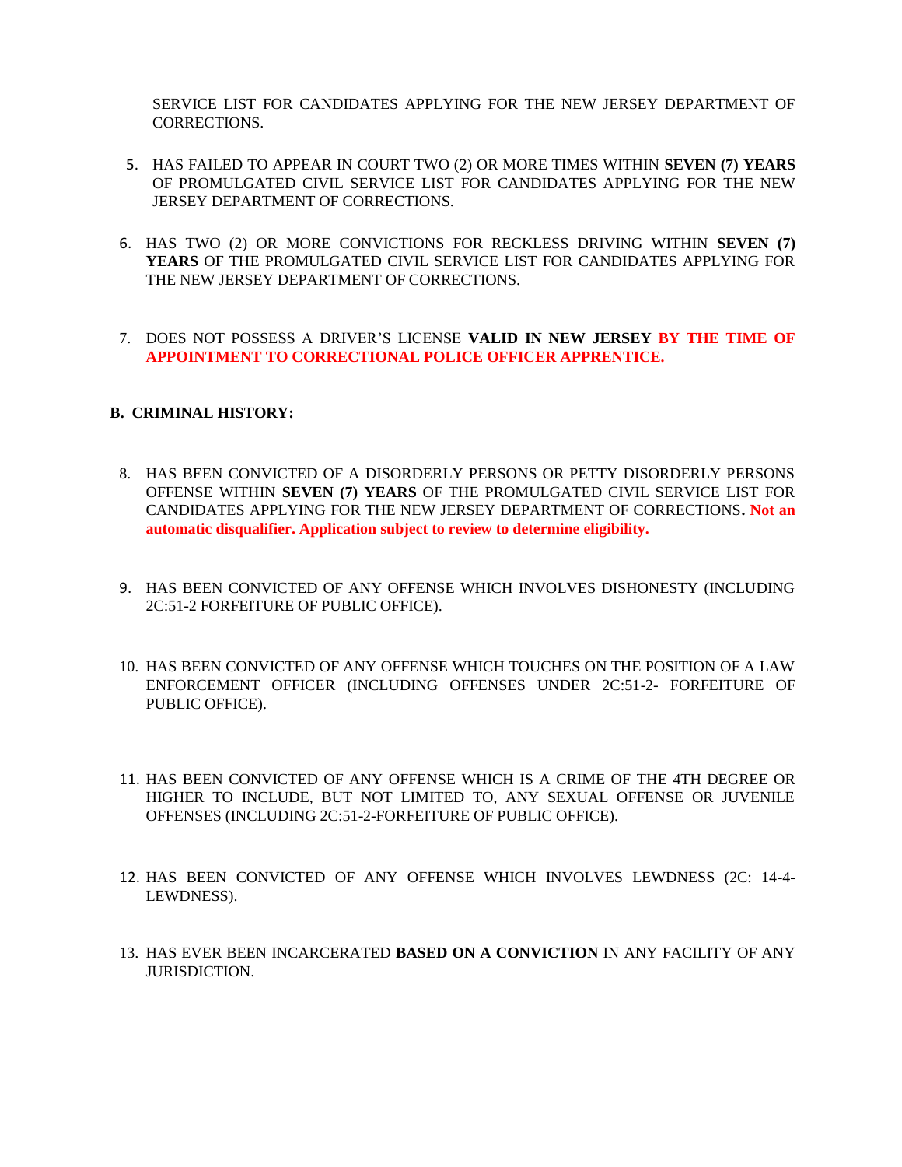SERVICE LIST FOR CANDIDATES APPLYING FOR THE NEW JERSEY DEPARTMENT OF CORRECTIONS.

- 5. HAS FAILED TO APPEAR IN COURT TWO (2) OR MORE TIMES WITHIN **SEVEN (7) YEARS** OF PROMULGATED CIVIL SERVICE LIST FOR CANDIDATES APPLYING FOR THE NEW JERSEY DEPARTMENT OF CORRECTIONS.
- 6. HAS TWO (2) OR MORE CONVICTIONS FOR RECKLESS DRIVING WITHIN **SEVEN (7) YEARS** OF THE PROMULGATED CIVIL SERVICE LIST FOR CANDIDATES APPLYING FOR THE NEW JERSEY DEPARTMENT OF CORRECTIONS.
- 7. DOES NOT POSSESS A DRIVER'S LICENSE **VALID IN NEW JERSEY BY THE TIME OF APPOINTMENT TO CORRECTIONAL POLICE OFFICER APPRENTICE.**

### **B. CRIMINAL HISTORY:**

- 8. HAS BEEN CONVICTED OF A DISORDERLY PERSONS OR PETTY DISORDERLY PERSONS OFFENSE WITHIN **SEVEN (7) YEARS** OF THE PROMULGATED CIVIL SERVICE LIST FOR CANDIDATES APPLYING FOR THE NEW JERSEY DEPARTMENT OF CORRECTIONS**. Not an automatic disqualifier. Application subject to review to determine eligibility.**
- 9. HAS BEEN CONVICTED OF ANY OFFENSE WHICH INVOLVES DISHONESTY (INCLUDING 2C:51-2 FORFEITURE OF PUBLIC OFFICE).
- 10. HAS BEEN CONVICTED OF ANY OFFENSE WHICH TOUCHES ON THE POSITION OF A LAW ENFORCEMENT OFFICER (INCLUDING OFFENSES UNDER 2C:51-2- FORFEITURE OF PUBLIC OFFICE).
- 11. HAS BEEN CONVICTED OF ANY OFFENSE WHICH IS A CRIME OF THE 4TH DEGREE OR HIGHER TO INCLUDE, BUT NOT LIMITED TO, ANY SEXUAL OFFENSE OR JUVENILE OFFENSES (INCLUDING 2C:51-2-FORFEITURE OF PUBLIC OFFICE).
- 12. HAS BEEN CONVICTED OF ANY OFFENSE WHICH INVOLVES LEWDNESS (2C: 14-4- LEWDNESS).
- 13. HAS EVER BEEN INCARCERATED **BASED ON A CONVICTION** IN ANY FACILITY OF ANY JURISDICTION.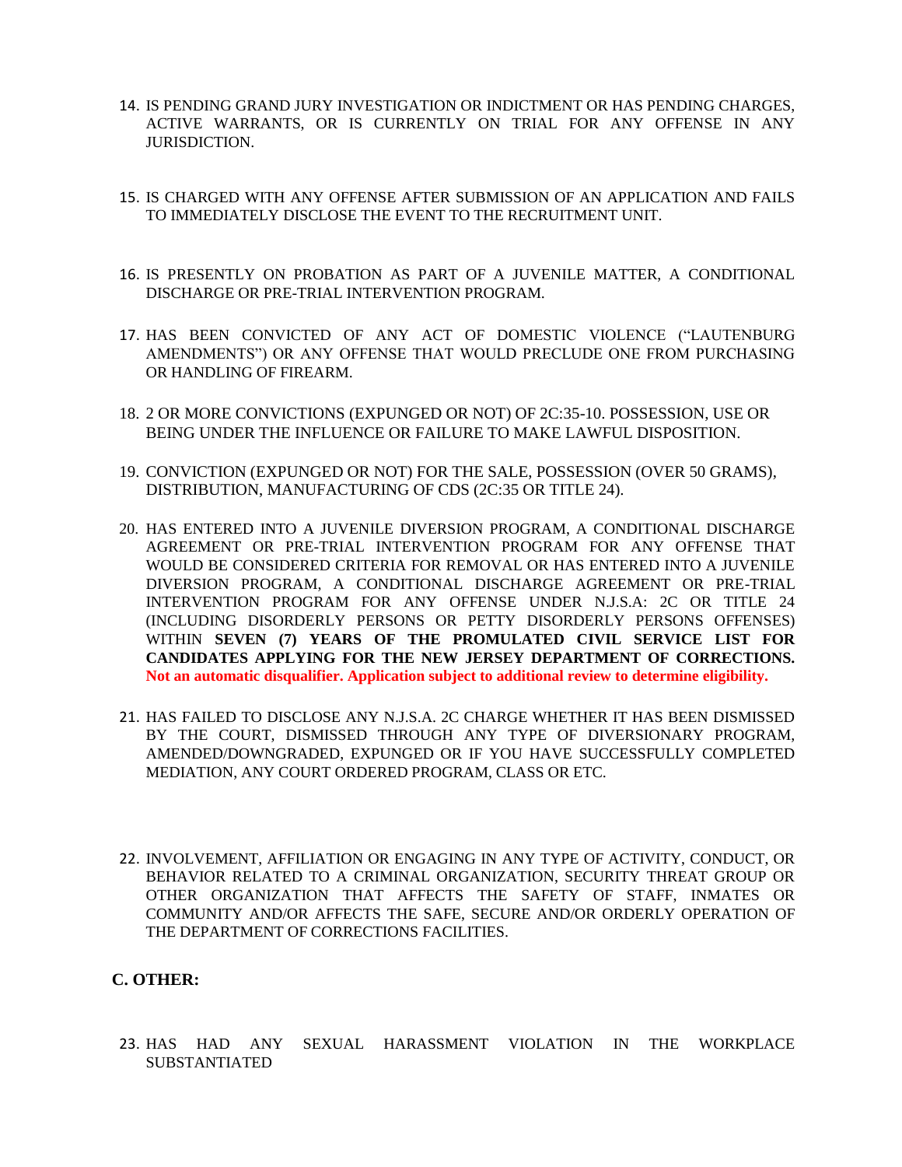- 14. IS PENDING GRAND JURY INVESTIGATION OR INDICTMENT OR HAS PENDING CHARGES, ACTIVE WARRANTS, OR IS CURRENTLY ON TRIAL FOR ANY OFFENSE IN ANY JURISDICTION.
- 15. IS CHARGED WITH ANY OFFENSE AFTER SUBMISSION OF AN APPLICATION AND FAILS TO IMMEDIATELY DISCLOSE THE EVENT TO THE RECRUITMENT UNIT.
- 16. IS PRESENTLY ON PROBATION AS PART OF A JUVENILE MATTER, A CONDITIONAL DISCHARGE OR PRE-TRIAL INTERVENTION PROGRAM.
- 17. HAS BEEN CONVICTED OF ANY ACT OF DOMESTIC VIOLENCE ("LAUTENBURG AMENDMENTS") OR ANY OFFENSE THAT WOULD PRECLUDE ONE FROM PURCHASING OR HANDLING OF FIREARM.
- 18. 2 OR MORE CONVICTIONS (EXPUNGED OR NOT) OF 2C:35-10. POSSESSION, USE OR BEING UNDER THE INFLUENCE OR FAILURE TO MAKE LAWFUL DISPOSITION.
- 19. CONVICTION (EXPUNGED OR NOT) FOR THE SALE, POSSESSION (OVER 50 GRAMS), DISTRIBUTION, MANUFACTURING OF CDS (2C:35 OR TITLE 24).
- 20. HAS ENTERED INTO A JUVENILE DIVERSION PROGRAM, A CONDITIONAL DISCHARGE AGREEMENT OR PRE-TRIAL INTERVENTION PROGRAM FOR ANY OFFENSE THAT WOULD BE CONSIDERED CRITERIA FOR REMOVAL OR HAS ENTERED INTO A JUVENILE DIVERSION PROGRAM, A CONDITIONAL DISCHARGE AGREEMENT OR PRE-TRIAL INTERVENTION PROGRAM FOR ANY OFFENSE UNDER N.J.S.A: 2C OR TITLE 24 (INCLUDING DISORDERLY PERSONS OR PETTY DISORDERLY PERSONS OFFENSES) WITHIN **SEVEN (7) YEARS OF THE PROMULATED CIVIL SERVICE LIST FOR CANDIDATES APPLYING FOR THE NEW JERSEY DEPARTMENT OF CORRECTIONS. Not an automatic disqualifier. Application subject to additional review to determine eligibility.**
- 21. HAS FAILED TO DISCLOSE ANY N.J.S.A. 2C CHARGE WHETHER IT HAS BEEN DISMISSED BY THE COURT, DISMISSED THROUGH ANY TYPE OF DIVERSIONARY PROGRAM, AMENDED/DOWNGRADED, EXPUNGED OR IF YOU HAVE SUCCESSFULLY COMPLETED MEDIATION, ANY COURT ORDERED PROGRAM, CLASS OR ETC.
- 22. INVOLVEMENT, AFFILIATION OR ENGAGING IN ANY TYPE OF ACTIVITY, CONDUCT, OR BEHAVIOR RELATED TO A CRIMINAL ORGANIZATION, SECURITY THREAT GROUP OR OTHER ORGANIZATION THAT AFFECTS THE SAFETY OF STAFF, INMATES OR COMMUNITY AND/OR AFFECTS THE SAFE, SECURE AND/OR ORDERLY OPERATION OF THE DEPARTMENT OF CORRECTIONS FACILITIES.

### **C. OTHER:**

23. HAS HAD ANY SEXUAL HARASSMENT VIOLATION IN THE WORKPLACE SUBSTANTIATED